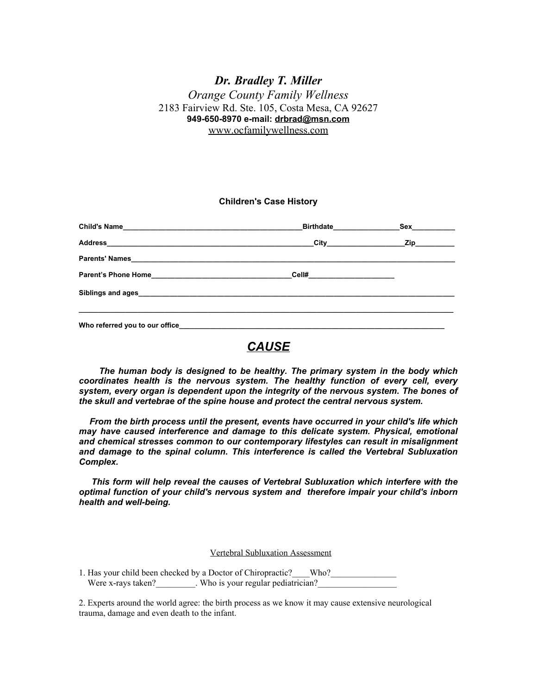### *Dr. Bradley T. Miller Orange County Family Wellness* 2183 Fairview Rd. Ste. 105, Costa Mesa, CA 92627 **949-650-8970 e-mail: [drbrad@msn.com](mailto:drbrad@msn.com)** [www.ocfamilywellness.com](http://www.ocfamilywellness.com)

#### **Children's Case History**

|                              | _Birthdate____________________Sex___________ |
|------------------------------|----------------------------------------------|
|                              |                                              |
|                              |                                              |
| Cell#_______________________ |                                              |
|                              |                                              |
|                              |                                              |

## *CAUSE*

*The human body is designed to be healthy. The primary system in the body which coordinates health is the nervous system. The healthy function of every cell, every system, every organ is dependent upon the integrity of the nervous system. The bones of the skull and vertebrae of the spine house and protect the central nervous system.*

*From the birth process until the present, events have occurred in your child's life which may have caused interference and damage to this delicate system. Physical, emotional and chemical stresses common to our contemporary lifestyles can result in misalignment and damage to the spinal column. This interference is called the Vertebral Subluxation Complex.*

*This form will help reveal the causes of Vertebral Subluxation which interfere with the optimal function of your child's nervous system and therefore impair your child's inborn health and well-being.*

Vertebral Subluxation Assessment

1. Has your child been checked by a Doctor of Chiropractic? Who? Were x-rays taken? Who is your regular pediatrician?

2. Experts around the world agree: the birth process as we know it may cause extensive neurological trauma, damage and even death to the infant.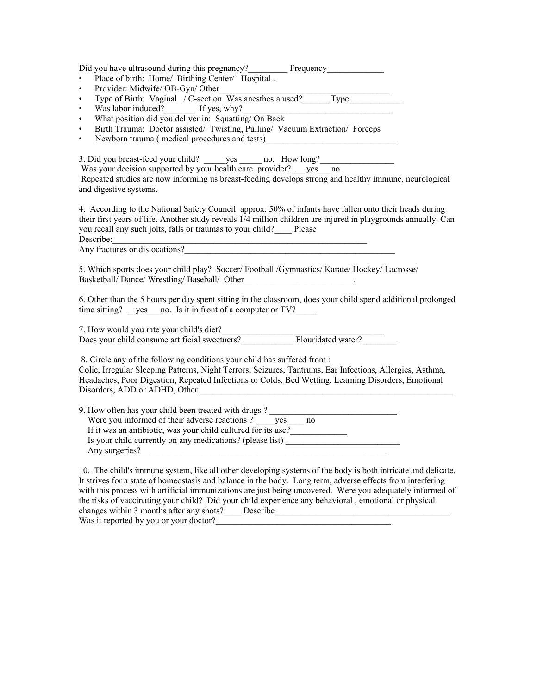| Did you have ultrasound during this pregnancy?<br>• Place of birth: Home/ Birthing Center/ Hospital.<br>$\bullet$<br>$\bullet$                                                                                                                                                                                                                                                                                                                  |
|-------------------------------------------------------------------------------------------------------------------------------------------------------------------------------------------------------------------------------------------------------------------------------------------------------------------------------------------------------------------------------------------------------------------------------------------------|
| Was labor induced? If yes, $why?$<br>$\bullet$<br>What position did you deliver in: Squatting/On Back<br>$\bullet$<br>Birth Trauma: Doctor assisted/ Twisting, Pulling/ Vacuum Extraction/ Forceps<br>$\bullet$<br>$\bullet$                                                                                                                                                                                                                    |
| 3. Did you breast-feed your child? ______ yes ______ no. How long? _____________<br>Was your decision supported by your health care provider? yes no.<br>Repeated studies are now informing us breast-feeding develops strong and healthy immune, neurological<br>and digestive systems.                                                                                                                                                        |
| 4. According to the National Safety Council approx. 50% of infants have fallen onto their heads during<br>their first years of life. Another study reveals 1/4 million children are injured in playgrounds annually. Can<br>you recall any such jolts, falls or traumas to your child? Please<br>Describe:<br>Any fractures or dislocations?                                                                                                    |
| 5. Which sports does your child play? Soccer/ Football /Gymnastics/ Karate/ Hockey/ Lacrosse/                                                                                                                                                                                                                                                                                                                                                   |
| 6. Other than the 5 hours per day spent sitting in the classroom, does your child spend additional prolonged<br>time sitting? yes no. Is it in front of a computer or TV?                                                                                                                                                                                                                                                                       |
| 7. How would you rate your child's diet?<br>Does your child consume artificial sweetners?<br>Flouridated water?                                                                                                                                                                                                                                                                                                                                 |
| 8. Circle any of the following conditions your child has suffered from :<br>Colic, Irregular Sleeping Patterns, Night Terrors, Seizures, Tantrums, Ear Infections, Allergies, Asthma,<br>Headaches, Poor Digestion, Repeated Infections or Colds, Bed Wetting, Learning Disorders, Emotional<br>Disorders, ADD or ADHD, Other<br><u> 1980 - Jan Barbara Barbara, manazarta ba</u>                                                               |
| If it was an antibiotic, was your child cultured for its use?<br>Is your child currently on any medications? (please list) ______________________                                                                                                                                                                                                                                                                                               |
| 10. The child's immune system, like all other developing systems of the body is both intricate and delicate.<br>It strives for a state of homeostasis and balance in the body. Long term, adverse effects from interfering<br>with this process with artificial immunizations are just being uncovered. Were you adequately informed of<br>the risks of vaccinating your child? Did your child experience any behavioral, emotional or physical |

changes within 3 months after any shots? Describe Was it reported by you or your doctor?